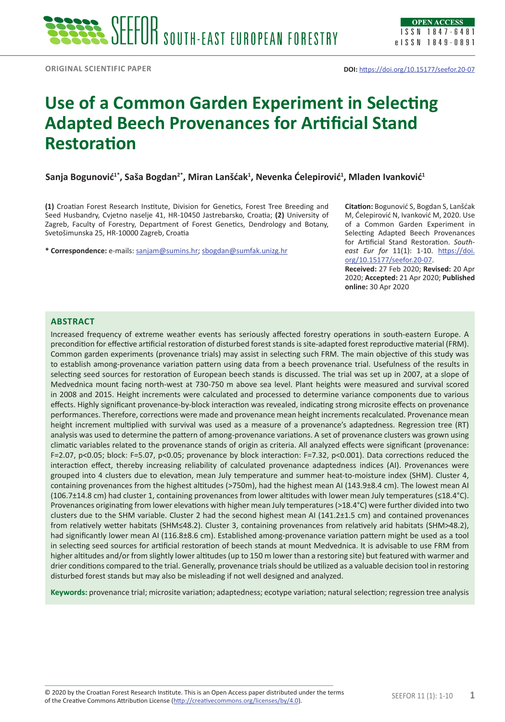# **Use of a Common Garden Experiment in Selecting Adapted Beech Provenances for Artificial Stand Restoration**

**Sanja Bogunović1\*, Saša Bogdan2\*, Miran Lanšćak<sup>1</sup> , Nevenka Ćelepirović<sup>1</sup> , Mladen Ivanković<sup>1</sup>**

**(1)** Croatian Forest Research Institute, Division for Genetics, Forest Tree Breeding and Seed Husbandry, Cvjetno naselje 41, HR-10450 Jastrebarsko, Croatia; **(2)** University of Zagreb, Faculty of Forestry, Department of Forest Genetics, Dendrology and Botany, Svetošimunska 25, HR-10000 Zagreb, Croatia

**\* Correspondence:** e-mails: [sanjam@sumins.hr;](mailto:sanjam@sumins.hr) [sbogdan@sumfak.unizg.hr](mailto:sbogdan@sumfak.unizg.hr)

**Citation:** Bogunović S, Bogdan S, Lanšćak M, Ćelepirović N, Ivanković M, 2020. Use of a Common Garden Experiment in Selecting Adapted Beech Provenances for Artificial Stand Restoration. *Southeast Eur for* 11(1): 1-10. [https://doi.](https://doi.org/10.15177/seefor.20-07) [org/10.15177/seefor.20-07](https://doi.org/10.15177/seefor.20-07).

**Received:** 27 Feb 2020; **Revised:** 20 Apr 2020; **Accepted:** 21 Apr 2020; **Published online:** 30 Apr 2020

# **Abstract**

Increased frequency of extreme weather events has seriously affected forestry operations in south-eastern Europe. A precondition for effective artificial restoration of disturbed forest stands is site-adapted forest reproductive material (FRM). Common garden experiments (provenance trials) may assist in selecting such FRM. The main objective of this study was to establish among-provenance variation pattern using data from a beech provenance trial. Usefulness of the results in selecting seed sources for restoration of European beech stands is discussed. The trial was set up in 2007, at a slope of Medvednica mount facing north-west at 730-750 m above sea level. Plant heights were measured and survival scored in 2008 and 2015. Height increments were calculated and processed to determine variance components due to various effects. Highly significant provenance-by-block interaction was revealed, indicating strong microsite effects on provenance performances. Therefore, corrections were made and provenance mean height increments recalculated. Provenance mean height increment multiplied with survival was used as a measure of a provenance's adaptedness. Regression tree (RT) analysis was used to determine the pattern of among-provenance variations. A set of provenance clusters was grown using climatic variables related to the provenance stands of origin as criteria. All analyzed effects were significant (provenance: F=2.07, p<0.05; block: F=5.07, p<0.05; provenance by block interaction: F=7.32, p<0.001). Data corrections reduced the interaction effect, thereby increasing reliability of calculated provenance adaptedness indices (AI). Provenances were grouped into 4 clusters due to elevation, mean July temperature and summer heat-to-moisture index (SHM). Cluster 4, containing provenances from the highest altitudes (>750m), had the highest mean AI (143.9±8.4 cm). The lowest mean AI (106.7±14.8 cm) had cluster 1, containing provenances from lower altitudes with lower mean July temperatures (≤18.4°C). Provenances originating from lower elevations with higher mean July temperatures (>18.4°C) were further divided into two clusters due to the SHM variable. Cluster 2 had the second highest mean AI (141.2±1.5 cm) and contained provenances from relatively wetter habitats (SHM≤48.2). Cluster 3, containing provenances from relatively arid habitats (SHM>48.2), had significantly lower mean AI (116.8±8.6 cm). Established among-provenance variation pattern might be used as a tool in selecting seed sources for artificial restoration of beech stands at mount Medvednica. It is advisable to use FRM from higher altitudes and/or from slightly lower altitudes (up to 150 m lower than a restoring site) but featured with warmer and drier conditions compared to the trial. Generally, provenance trials should be utilized as a valuable decision tool in restoring disturbed forest stands but may also be misleading if not well designed and analyzed.

**Keywords:** provenance trial; microsite variation; adaptedness; ecotype variation; natural selection; regression tree analysis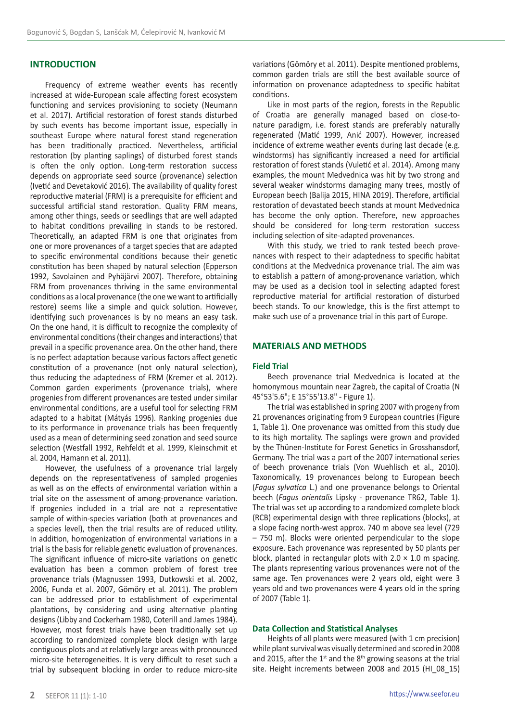# **INTRODUCTION**

Frequency of extreme weather events has recently increased at wide-European scale affecting forest ecosystem functioning and services provisioning to society (Neumann et al. 2017). Artificial restoration of forest stands disturbed by such events has become important issue, especially in southeast Europe where natural forest stand regeneration has been traditionally practiced. Nevertheless, artificial restoration (by planting saplings) of disturbed forest stands is often the only option. Long-term restoration success depends on appropriate seed source (provenance) selection (Ivetić and Devetaković 2016). The availability of quality forest reproductive material (FRM) is a prerequisite for efficient and successful artificial stand restoration. Quality FRM means, among other things, seeds or seedlings that are well adapted to habitat conditions prevailing in stands to be restored. Theoretically, an adapted FRM is one that originates from one or more provenances of a target species that are adapted to specific environmental conditions because their genetic constitution has been shaped by natural selection (Epperson 1992, Savolainen and Pyhäjärvi 2007). Therefore, obtaining FRM from provenances thriving in the same environmental conditions as a local provenance (the one we want to artificially restore) seems like a simple and quick solution. However, identifying such provenances is by no means an easy task. On the one hand, it is difficult to recognize the complexity of environmental conditions (their changes and interactions) that prevail in a specific provenance area. On the other hand, there is no perfect adaptation because various factors affect genetic constitution of a provenance (not only natural selection), thus reducing the adaptedness of FRM (Kremer et al. 2012). Common garden experiments (provenance trials), where progenies from different provenances are tested under similar environmental conditions, are a useful tool for selecting FRM adapted to a habitat (Mátyás 1996). Ranking progenies due to its performance in provenance trials has been frequently used as a mean of determining seed zonation and seed source selection (Westfall 1992, Rehfeldt et al. 1999, Kleinschmit et al. 2004, Hamann et al. 2011).

However, the usefulness of a provenance trial largely depends on the representativeness of sampled progenies as well as on the effects of environmental variation within a trial site on the assessment of among-provenance variation. If progenies included in a trial are not a representative sample of within-species variation (both at provenances and a species level), then the trial results are of reduced utility. In addition, homogenization of environmental variations in a trial is the basis for reliable genetic evaluation of provenances. The significant influence of micro-site variations on genetic evaluation has been a common problem of forest tree provenance trials (Magnussen 1993, Dutkowski et al. 2002, 2006, Funda et al. 2007, Gömöry et al. 2011). The problem can be addressed prior to establishment of experimental plantations, by considering and using alternative planting designs (Libby and Cockerham 1980, Coterill and James 1984). However, most forest trials have been traditionally set up according to randomized complete block design with large contiguous plots and at relatively large areas with pronounced micro-site heterogeneities. It is very difficult to reset such a trial by subsequent blocking in order to reduce micro-site

variations (Gömöry et al. 2011). Despite mentioned problems, common garden trials are still the best available source of information on provenance adaptedness to specific habitat conditions.

Like in most parts of the region, forests in the Republic of Croatia are generally managed based on close-tonature paradigm, i.e. forest stands are preferably naturally regenerated (Matić 1999, Anić 2007). However, increased incidence of extreme weather events during last decade (e.g. windstorms) has significantly increased a need for artificial restoration of forest stands (Vuletić et al. 2014). Among many examples, the mount Medvednica was hit by two strong and several weaker windstorms damaging many trees, mostly of European beech (Balija 2015, HINA 2019). Therefore, artificial restoration of devastated beech stands at mount Medvednica has become the only option. Therefore, new approaches should be considered for long-term restoration success including selection of site-adapted provenances.

With this study, we tried to rank tested beech provenances with respect to their adaptedness to specific habitat conditions at the Medvednica provenance trial. The aim was to establish a pattern of among-provenance variation, which may be used as a decision tool in selecting adapted forest reproductive material for artificial restoration of disturbed beech stands. To our knowledge, this is the first attempt to make such use of a provenance trial in this part of Europe.

## **MATERIALS AND METHODS**

### **Field Trial**

Beech provenance trial Medvednica is located at the homonymous mountain near Zagreb, the capital of Croatia (N 45°53'5.6"; E 15°55'13.8" - Figure 1).

The trial was established in spring 2007 with progeny from 21 provenances originating from 9 European countries (Figure 1, Table 1). One provenance was omitted from this study due to its high mortality. The saplings were grown and provided by the Thünen-Institute for Forest Genetics in Grosshansdorf, Germany. The trial was a part of the 2007 international series of beech provenance trials (Von Wuehlisch et al., 2010). Taxonomically, 19 provenances belong to European beech (*Fagus sylvatica* L.) and one provenance belongs to Oriental beech (*Fagus orientalis* Lipsky - provenance TR62, Table 1). The trial was set up according to a randomized complete block (RCB) experimental design with three replications (blocks), at a slope facing north-west approx. 740 m above sea level (729 – 750 m). Blocks were oriented perpendicular to the slope exposure. Each provenance was represented by 50 plants per block, planted in rectangular plots with  $2.0 \times 1.0$  m spacing. The plants representing various provenances were not of the same age. Ten provenances were 2 years old, eight were 3 years old and two provenances were 4 years old in the spring of 2007 (Table 1).

#### **Data Collection and Statistical Analyses**

Heights of all plants were measured (with 1 cm precision) while plant survival was visually determined and scored in 2008 and 2015, after the 1<sup>st</sup> and the  $8<sup>th</sup>$  growing seasons at the trial site. Height increments between 2008 and 2015 (HI\_08\_15)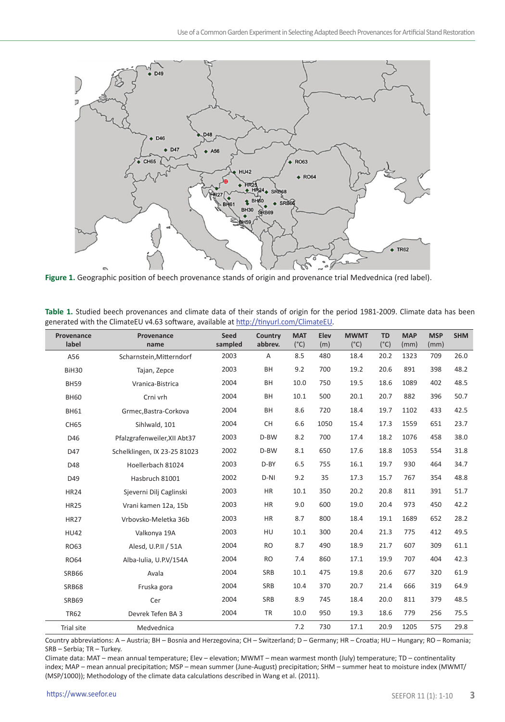

**Figure 1.** Geographic position of beech provenance stands of origin and provenance trial Medvednica (red label).

| Provenance<br>label | Provenance<br>name           | Seed<br>sampled | Country<br>abbrev. | <b>MAT</b><br>$(^{\circ}C)$ | Elev<br>(m) | <b>MWMT</b><br>$(^{\circ}C)$ | <b>TD</b><br>$(^{\circ}C)$ | <b>MAP</b><br>(mm) | <b>MSP</b><br>(mm) | <b>SHM</b> |
|---------------------|------------------------------|-----------------|--------------------|-----------------------------|-------------|------------------------------|----------------------------|--------------------|--------------------|------------|
| A56                 | Scharnstein, Mitterndorf     | 2003            | Α                  | 8.5                         | 480         | 18.4                         | 20.2                       | 1323               | 709                | 26.0       |
| BiH30               | Tajan, Zepce                 | 2003            | BH                 | 9.2                         | 700         | 19.2                         | 20.6                       | 891                | 398                | 48.2       |
| <b>BH59</b>         | Vranica-Bistrica             | 2004            | BH                 | 10.0                        | 750         | 19.5                         | 18.6                       | 1089               | 402                | 48.5       |
| <b>BH60</b>         | Crni vrh                     | 2004            | BH                 | 10.1                        | 500         | 20.1                         | 20.7                       | 882                | 396                | 50.7       |
| <b>BH61</b>         | Grmec, Bastra-Corkova        | 2004            | <b>BH</b>          | 8.6                         | 720         | 18.4                         | 19.7                       | 1102               | 433                | 42.5       |
| <b>CH65</b>         | Sihlwald, 101                | 2004            | CH                 | 6.6                         | 1050        | 15.4                         | 17.3                       | 1559               | 651                | 23.7       |
| D46                 | Pfalzgrafenweiler, XII Abt37 | 2003            | D-BW               | 8.2                         | 700         | 17.4                         | 18.2                       | 1076               | 458                | 38.0       |
| D47                 | Schelklingen, IX 23-25 81023 | 2002            | D-BW               | 8.1                         | 650         | 17.6                         | 18.8                       | 1053               | 554                | 31.8       |
| D48                 | Hoellerbach 81024            | 2003            | D-BY               | 6.5                         | 755         | 16.1                         | 19.7                       | 930                | 464                | 34.7       |
| D49                 | Hasbruch 81001               | 2002            | $D-NI$             | 9.2                         | 35          | 17.3                         | 15.7                       | 767                | 354                | 48.8       |
| <b>HR24</b>         | Sjeverni Dilj Caglinski      | 2003            | HR                 | 10.1                        | 350         | 20.2                         | 20.8                       | 811                | 391                | 51.7       |
| <b>HR25</b>         | Vrani kamen 12a, 15b         | 2003            | HR                 | 9.0                         | 600         | 19.0                         | 20.4                       | 973                | 450                | 42.2       |
| <b>HR27</b>         | Vrbovsko-Meletka 36b         | 2003            | <b>HR</b>          | 8.7                         | 800         | 18.4                         | 19.1                       | 1689               | 652                | 28.2       |
| <b>HU42</b>         | Valkonya 19A                 | 2003            | HU                 | 10.1                        | 300         | 20.4                         | 21.3                       | 775                | 412                | 49.5       |
| RO63                | Alesd. U.P.II / 51A          | 2004            | <b>RO</b>          | 8.7                         | 490         | 18.9                         | 21.7                       | 607                | 309                | 61.1       |
| <b>RO64</b>         | Alba-Iulia, U.P.V/154A       | 2004            | <b>RO</b>          | 7.4                         | 860         | 17.1                         | 19.9                       | 707                | 404                | 42.3       |
| <b>SRB66</b>        | Avala                        | 2004            | SRB                | 10.1                        | 475         | 19.8                         | 20.6                       | 677                | 320                | 61.9       |
| <b>SRB68</b>        | Fruska gora                  | 2004            | SRB                | 10.4                        | 370         | 20.7                         | 21.4                       | 666                | 319                | 64.9       |
| <b>SRB69</b>        | Cer                          | 2004            | SRB                | 8.9                         | 745         | 18.4                         | 20.0                       | 811                | 379                | 48.5       |
| <b>TR62</b>         | Devrek Tefen BA 3            | 2004            | TR                 | 10.0                        | 950         | 19.3                         | 18.6                       | 779                | 256                | 75.5       |
| Trial site          | Medvednica                   |                 |                    | 7.2                         | 730         | 17.1                         | 20.9                       | 1205               | 575                | 29.8       |

**Table 1.** Studied beech provenances and climate data of their stands of origin for the period 1981-2009. Climate data has been generated with the ClimateEU v4.63 software, available at <http://tinyurl.com/ClimateEU>.

Country abbreviations: A – Austria; BH – Bosnia and Herzegovina; CH – Switzerland; D – Germany; HR – Croatia; HU – Hungary; RO – Romania; SRB – Serbia; TR – Turkey.

Climate data: MAT – mean annual temperature; Elev – elevation; MWMT – mean warmest month (July) temperature; TD – continentality index; MAP – mean annual precipitation; MSP – mean summer (June-August) precipitation; SHM – summer heat to moisture index (MWMT/ (MSP/1000)); Methodology of the climate data calculations described in Wang et al. (2011).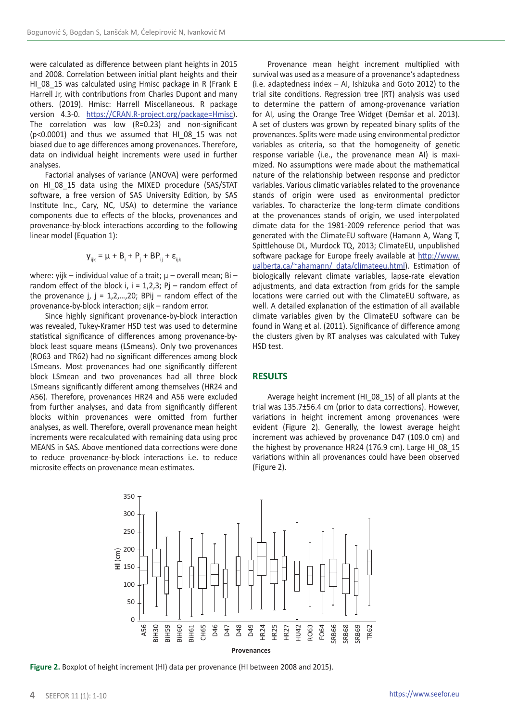were calculated as difference between plant heights in 2015 and 2008. Correlation between initial plant heights and their HI\_08\_15 was calculated using Hmisc package in R (Frank E) Harrell Jr, with contributions from Charles Dupont and many others. (2019). Hmisc: Harrell Miscellaneous. R package version 4.3-0. [https://CRAN.R-project.org/package=Hmisc\)](https://CRAN.R-project.org/package=Hmisc). The correlation was low (R=0.23) and non-significant (p<0.0001) and thus we assumed that HI\_08\_15 was not biased due to age differences among provenances. Therefore, data on individual height increments were used in further analyses.

Factorial analyses of variance (ANOVA) were performed on HI\_08\_15 data using the MIXED procedure (SAS/STAT software, a free version of SAS University Edition, by SAS Institute Inc., Cary, NC, USA) to determine the variance components due to effects of the blocks, provenances and provenance-by-block interactions according to the following linear model (Equation 1):

$$
\mathbf{y}_{ijk} = \mu + \mathbf{B}_i + \mathbf{P}_j + \mathbf{B} \mathbf{P}_{ij} + \mathbf{\varepsilon}_{ijk}
$$

where: yijk – individual value of a trait; μ – overall mean; Bi – random effect of the block i,  $i = 1,2,3$ ; Pi – random effect of the provenance  $i, i = 1, 2, \ldots, 20$ : BPij – random effect of the provenance-by-block interaction; εijk – random error.

Since highly significant provenance-by-block interaction was revealed, Tukey-Kramer HSD test was used to determine statistical significance of differences among provenance-byblock least square means (LSmeans). Only two provenances (RO63 and TR62) had no significant differences among block LSmeans. Most provenances had one significantly different block LSmean and two provenances had all three block LSmeans significantly different among themselves (HR24 and A56). Therefore, provenances HR24 and A56 were excluded from further analyses, and data from significantly different blocks within provenances were omitted from further analyses, as well. Therefore, overall provenance mean height increments were recalculated with remaining data using proc MEANS in SAS. Above mentioned data corrections were done to reduce provenance-by-block interactions i.e. to reduce microsite effects on provenance mean estimates.

Provenance mean height increment multiplied with survival was used as a measure of a provenance's adaptedness (i.e. adaptedness index – AI, Ishizuka and Goto 2012) to the trial site conditions. Regression tree (RT) analysis was used to determine the pattern of among-provenance variation for AI, using the Orange Tree Widget (Demšar et al. 2013). A set of clusters was grown by repeated binary splits of the provenances. Splits were made using environmental predictor variables as criteria, so that the homogeneity of genetic response variable (i.e., the provenance mean AI) is maximized. No assumptions were made about the mathematical nature of the relationship between response and predictor variables. Various climatic variables related to the provenance stands of origin were used as environmental predictor variables. To characterize the long-term climate conditions at the provenances stands of origin, we used interpolated climate data for the 1981-2009 reference period that was generated with the ClimateEU software (Hamann A, Wang T, Spittlehouse DL, Murdock TQ, 2013; ClimateEU, unpublished software package for Europe freely available at [http://www.](http://www.ualberta.ca/~ahamann/ data/climateeu.html)) [ualberta.ca/~ahamann/ data/climateeu.html\)](http://www.ualberta.ca/~ahamann/ data/climateeu.html)). Estimation of biologically relevant climate variables, lapse-rate elevation adjustments, and data extraction from grids for the sample locations were carried out with the ClimateEU software, as well. A detailed explanation of the estimation of all available climate variables given by the ClimateEU software can be found in Wang et al. (2011). Significance of difference among the clusters given by RT analyses was calculated with Tukey HSD test.

# **RESULTS**

Average height increment (HI\_08\_15) of all plants at the trial was 135.7±56.4 cm (prior to data corrections). However, variations in height increment among provenances were evident (Figure 2). Generally, the lowest average height increment was achieved by provenance D47 (109.0 cm) and the highest by provenance HR24 (176.9 cm). Large HI\_08\_15 variations within all provenances could have been observed (Figure 2).



**Figure 2.** Boxplot of height increment (HI) data per provenance (HI between 2008 and 2015).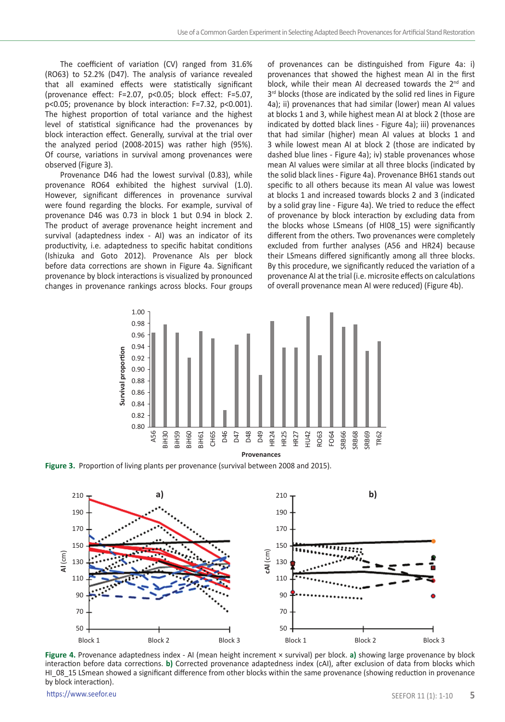The coefficient of variation (CV) ranged from 31.6% (RO63) to 52.2% (D47). The analysis of variance revealed that all examined effects were statistically significant (provenance effect: F=2.07, p<0.05; block effect: F=5.07, p<0.05; provenance by block interaction: F=7.32, p<0.001). The highest proportion of total variance and the highest level of statistical significance had the provenances by block interaction effect. Generally, survival at the trial over the analyzed period (2008-2015) was rather high (95%). Of course, variations in survival among provenances were observed (Figure 3).

Provenance D46 had the lowest survival (0.83), while provenance RO64 exhibited the highest survival (1.0). However, significant differences in provenance survival were found regarding the blocks. For example, survival of provenance D46 was 0.73 in block 1 but 0.94 in block 2. The product of average provenance height increment and survival (adaptedness index - AI) was an indicator of its productivity, i.e. adaptedness to specific habitat conditions (Ishizuka and Goto 2012). Provenance AIs per block before data corrections are shown in Figure 4a. Significant provenance by block interactions is visualized by pronounced changes in provenance rankings across blocks. Four groups

of provenances can be distinguished from Figure 4a: i) provenances that showed the highest mean AI in the first block, while their mean AI decreased towards the  $2<sup>nd</sup>$  and 3<sup>rd</sup> blocks (those are indicated by the solid red lines in Figure 4a); ii) provenances that had similar (lower) mean AI values at blocks 1 and 3, while highest mean AI at block 2 (those are indicated by dotted black lines - Figure 4a); iii) provenances that had similar (higher) mean AI values at blocks 1 and 3 while lowest mean AI at block 2 (those are indicated by dashed blue lines - Figure 4a); iv) stable provenances whose mean AI values were similar at all three blocks (indicated by the solid black lines - Figure 4a). Provenance BH61 stands out specific to all others because its mean AI value was lowest at blocks 1 and increased towards blocks 2 and 3 (indicated by a solid gray line - Figure 4a). We tried to reduce the effect of provenance by block interaction by excluding data from the blocks whose LSmeans (of HI08\_15) were significantly different from the others. Two provenances were completely excluded from further analyses (A56 and HR24) because their LSmeans differed significantly among all three blocks. By this procedure, we significantly reduced the variation of a provenance AI at the trial (i.e. microsite effects on calculations of overall provenance mean AI were reduced) (Figure 4b).



**Figure 3.** Proportion of living plants per provenance (survival between 2008 and 2015).



**Figure 4.** Provenance adaptedness index - AI (mean height increment × survival) per block. **a)** showing large provenance by block interaction before data corrections. **b)** Corrected provenance adaptedness index (cAI), after exclusion of data from blocks which HI\_08\_15 LSmean showed a significant difference from other blocks within the same provenance (showing reduction in provenance by block interaction).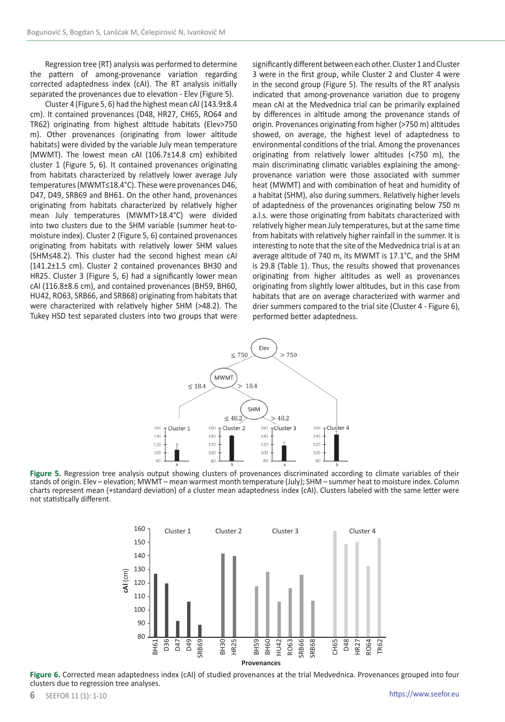Regression tree (RT) analysis was performed to determine the pattern of among-provenance variation regarding corrected adaptedness index (cAI). The RT analysis initially separated the provenances due to elevation - Elev (Figure 5).

Cluster 4 (Figure 5, 6) had the highest mean cAI (143.9±8.4 cm). It contained provenances (D48, HR27, CH65, RO64 and TR62) originating from highest altitude habitats (Elev>750 m). Other provenances (originating from lower altitude habitats) were divided by the variable July mean temperature (MWMT). The lowest mean cAI (106.7±14.8 cm) exhibited cluster 1 (Figure 5, 6). It contained provenances originating from habitats characterized by relatively lower average July temperatures (MWMT≤18.4°C). These were provenances D46, D47, D49, SRB69 and BH61. On the other hand, provenances originating from habitats characterized by relatively higher mean July temperatures (MWMT>18.4°C) were divided into two clusters due to the SHM variable (summer heat-tomoisture index). Cluster 2 (Figure 5, 6) contained provenances originating from habitats with relatively lower SHM values (SHM≤48.2). This cluster had the second highest mean cAI (141.2±1.5 cm). Cluster 2 contained provenances BH30 and HR25. Cluster 3 (Figure 5, 6) had a significantly lower mean cAI (116.8±8.6 cm), and contained provenances (BH59, BH60, HU42, RO63, SRB66, and SRB68) originating from habitats that were characterized with relatively higher SHM (>48.2). The Tukey HSD test separated clusters into two groups that were significantly different between each other. Cluster 1 and Cluster 3 were in the first group, while Cluster 2 and Cluster 4 were in the second group (Figure 5). The results of the RT analysis indicated that among-provenance variation due to progeny mean cAI at the Medvednica trial can be primarily explained by differences in altitude among the provenance stands of origin. Provenances originating from higher (>750 m) altitudes showed, on average, the highest level of adaptedness to environmental conditions of the trial. Among the provenances originating from relatively lower altitudes (<750 m), the main discriminating climatic variables explaining the amongprovenance variation were those associated with summer heat (MWMT) and with combination of heat and humidity of a habitat (SHM), also during summers. Relatively higher levels of adaptedness of the provenances originating below 750 m a.l.s. were those originating from habitats characterized with relatively higher mean July temperatures, but at the same time from habitats with relatively higher rainfall in the summer. It is interesting to note that the site of the Medvednica trial is at an average altitude of 740 m, its MWMT is 17.1°C, and the SHM is 29.8 (Table 1). Thus, the results showed that provenances originating from higher altitudes as well as provenances originating from slightly lower altitudes, but in this case from habitats that are on average characterized with warmer and drier summers compared to the trial site (Cluster 4 - Figure 6), performed better adaptedness.







**Figure 6.** Corrected mean adaptedness index (cAI) of studied provenances at the trial Medvednica. Provenances grouped into four clusters due to regression tree analyses.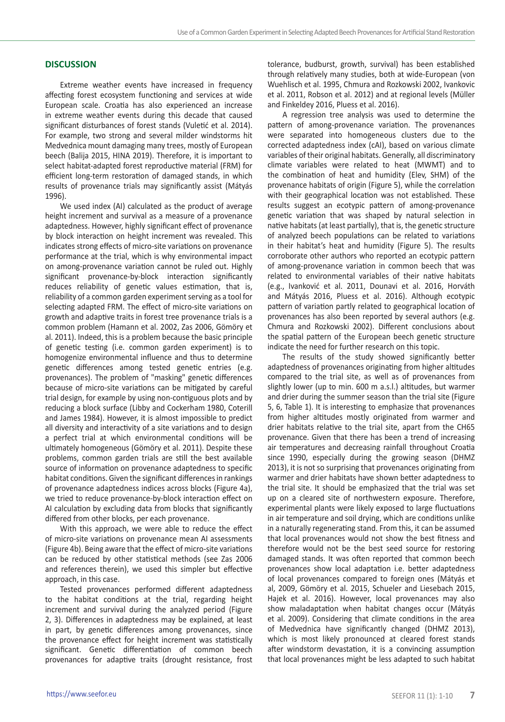# **DISCUSSION**

Extreme weather events have increased in frequency affecting forest ecosystem functioning and services at wide European scale. Croatia has also experienced an increase in extreme weather events during this decade that caused significant disturbances of forest stands (Vuletić et al. 2014). For example, two strong and several milder windstorms hit Medvednica mount damaging many trees, mostly of European beech (Balija 2015, HINA 2019). Therefore, it is important to select habitat-adapted forest reproductive material (FRM) for efficient long-term restoration of damaged stands, in which results of provenance trials may significantly assist (Mátyás 1996).

We used index (AI) calculated as the product of average height increment and survival as a measure of a provenance adaptedness. However, highly significant effect of provenance by block interaction on height increment was revealed. This indicates strong effects of micro-site variations on provenance performance at the trial, which is why environmental impact on among-provenance variation cannot be ruled out. Highly significant provenance-by-block interaction significantly reduces reliability of genetic values estimation, that is, reliability of a common garden experiment serving as a tool for selecting adapted FRM. The effect of micro-site variations on growth and adaptive traits in forest tree provenance trials is a common problem (Hamann et al. 2002, Zas 2006, Gömöry et al. 2011). Indeed, this is a problem because the basic principle of genetic testing (i.e. common garden experiment) is to homogenize environmental influence and thus to determine genetic differences among tested genetic entries (e.g. provenances). The problem of "masking" genetic differences because of micro-site variations can be mitigated by careful trial design, for example by using non-contiguous plots and by reducing a block surface (Libby and Cockerham 1980, Coterill and James 1984). However, it is almost impossible to predict all diversity and interactivity of a site variations and to design a perfect trial at which environmental conditions will be ultimately homogeneous (Gömöry et al. 2011). Despite these problems, common garden trials are still the best available source of information on provenance adaptedness to specific habitat conditions. Given the significant differences in rankings of provenance adaptedness indices across blocks (Figure 4a), we tried to reduce provenance-by-block interaction effect on AI calculation by excluding data from blocks that significantly differed from other blocks, per each provenance.

With this approach, we were able to reduce the effect of micro-site variations on provenance mean AI assessments (Figure 4b). Being aware that the effect of micro-site variations can be reduced by other statistical methods (see Zas 2006 and references therein), we used this simpler but effective approach, in this case.

Tested provenances performed different adaptedness to the habitat conditions at the trial, regarding height increment and survival during the analyzed period (Figure 2, 3). Differences in adaptedness may be explained, at least in part, by genetic differences among provenances, since the provenance effect for height increment was statistically significant. Genetic differentiation of common beech provenances for adaptive traits (drought resistance, frost

tolerance, budburst, growth, survival) has been established through relatively many studies, both at wide-European (von Wuehlisch et al. 1995, Chmura and Rozkowski 2002, Ivankovic et al. 2011, Robson et al. 2012) and at regional levels (Müller and Finkeldey 2016, Pluess et al. 2016).

A regression tree analysis was used to determine the pattern of among-provenance variation. The provenances were separated into homogeneous clusters due to the corrected adaptedness index (cAI), based on various climate variables of their original habitats. Generally, all discriminatory climate variables were related to heat (MWMT) and to the combination of heat and humidity (Elev, SHM) of the provenance habitats of origin (Figure 5), while the correlation with their geographical location was not established. These results suggest an ecotypic pattern of among-provenance genetic variation that was shaped by natural selection in native habitats (at least partially), that is, the genetic structure of analyzed beech populations can be related to variations in their habitat's heat and humidity (Figure 5). The results corroborate other authors who reported an ecotypic pattern of among-provenance variation in common beech that was related to environmental variables of their native habitats (e.g., Ivanković et al. 2011, Dounavi et al. 2016, Horváth and Mátyás 2016, Pluess et al. 2016). Although ecotypic pattern of variation partly related to geographical location of provenances has also been reported by several authors (e.g. Chmura and Rozkowski 2002). Different conclusions about the spatial pattern of the European beech genetic structure indicate the need for further research on this topic.

The results of the study showed significantly better adaptedness of provenances originating from higher altitudes compared to the trial site, as well as of provenances from slightly lower (up to min. 600 m a.s.l.) altitudes, but warmer and drier during the summer season than the trial site (Figure 5, 6, Table 1). It is interesting to emphasize that provenances from higher altitudes mostly originated from warmer and drier habitats relative to the trial site, apart from the CH65 provenance. Given that there has been a trend of increasing air temperatures and decreasing rainfall throughout Croatia since 1990, especially during the growing season (DHMZ 2013), it is not so surprising that provenances originating from warmer and drier habitats have shown better adaptedness to the trial site. It should be emphasized that the trial was set up on a cleared site of northwestern exposure. Therefore, experimental plants were likely exposed to large fluctuations in air temperature and soil drying, which are conditions unlike in a naturally regenerating stand. From this, it can be assumed that local provenances would not show the best fitness and therefore would not be the best seed source for restoring damaged stands. It was often reported that common beech provenances show local adaptation i.e. better adaptedness of local provenances compared to foreign ones (Mátyás et al, 2009, Gömöry et al. 2015, Schueler and Liesebach 2015, Hajek et al. 2016). However, local provenances may also show maladaptation when habitat changes occur (Mátyás et al. 2009). Considering that climate conditions in the area of Medvednica have significantly changed (DHMZ 2013), which is most likely pronounced at cleared forest stands after windstorm devastation, it is a convincing assumption that local provenances might be less adapted to such habitat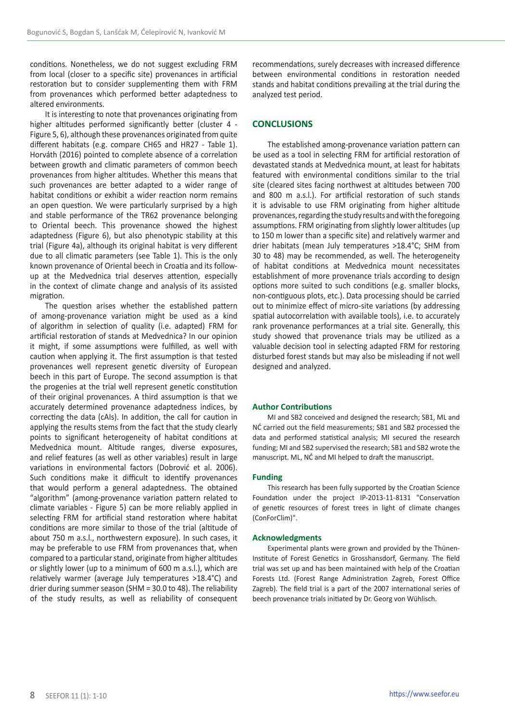conditions. Nonetheless, we do not suggest excluding FRM from local (closer to a specific site) provenances in artificial restoration but to consider supplementing them with FRM from provenances which performed better adaptedness to altered environments.

It is interesting to note that provenances originating from higher altitudes performed significantly better (cluster 4 - Figure 5, 6), although these provenances originated from quite different habitats (e.g. compare CH65 and HR27 - Table 1). Horváth (2016) pointed to complete absence of a correlation between growth and climatic parameters of common beech provenances from higher altitudes. Whether this means that such provenances are better adapted to a wider range of habitat conditions or exhibit a wider reaction norm remains an open question. We were particularly surprised by a high and stable performance of the TR62 provenance belonging to Oriental beech. This provenance showed the highest adaptedness (Figure 6), but also phenotypic stability at this trial (Figure 4a), although its original habitat is very different due to all climatic parameters (see Table 1). This is the only known provenance of Oriental beech in Croatia and its followup at the Medvednica trial deserves attention, especially in the context of climate change and analysis of its assisted migration.

The question arises whether the established pattern of among-provenance variation might be used as a kind of algorithm in selection of quality (i.e. adapted) FRM for artificial restoration of stands at Medvednica? In our opinion it might, if some assumptions were fulfilled, as well with caution when applying it. The first assumption is that tested provenances well represent genetic diversity of European beech in this part of Europe. The second assumption is that the progenies at the trial well represent genetic constitution of their original provenances. A third assumption is that we accurately determined provenance adaptedness indices, by correcting the data (cAIs). In addition, the call for caution in applying the results stems from the fact that the study clearly points to significant heterogeneity of habitat conditions at Medvednica mount. Altitude ranges, diverse exposures, and relief features (as well as other variables) result in large variations in environmental factors (Dobrović et al. 2006). Such conditions make it difficult to identify provenances that would perform a general adaptedness. The obtained "algorithm" (among-provenance variation pattern related to climate variables - Figure 5) can be more reliably applied in selecting FRM for artificial stand restoration where habitat conditions are more similar to those of the trial (altitude of about 750 m a.s.l., northwestern exposure). In such cases, it may be preferable to use FRM from provenances that, when compared to a particular stand, originate from higher altitudes or slightly lower (up to a minimum of 600 m a.s.l.), which are relatively warmer (average July temperatures >18.4°C) and drier during summer season (SHM = 30.0 to 48). The reliability of the study results, as well as reliability of consequent recommendations, surely decreases with increased difference between environmental conditions in restoration needed stands and habitat conditions prevailing at the trial during the analyzed test period.

# **CONCLUSIONS**

The established among-provenance variation pattern can be used as a tool in selecting FRM for artificial restoration of devastated stands at Medvednica mount, at least for habitats featured with environmental conditions similar to the trial site (cleared sites facing northwest at altitudes between 700 and 800 m a.s.l.). For artificial restoration of such stands it is advisable to use FRM originating from higher altitude provenances, regarding the study results and with the foregoing assumptions. FRM originating from slightly lower altitudes (up to 150 m lower than a specific site) and relatively warmer and drier habitats (mean July temperatures >18.4°C; SHM from 30 to 48) may be recommended, as well. The heterogeneity of habitat conditions at Medvednica mount necessitates establishment of more provenance trials according to design options more suited to such conditions (e.g. smaller blocks, non-contiguous plots, etc.). Data processing should be carried out to minimize effect of micro-site variations (by addressing spatial autocorrelation with available tools), i.e. to accurately rank provenance performances at a trial site. Generally, this study showed that provenance trials may be utilized as a valuable decision tool in selecting adapted FRM for restoring disturbed forest stands but may also be misleading if not well designed and analyzed.

## **Author Contributions**

MI and SB2 conceived and designed the research; SB1, ML and NĆ carried out the field measurements; SB1 and SB2 processed the data and performed statistical analysis; MI secured the research funding; MI and SB2 supervised the research; SB1 and SB2 wrote the manuscript. ML, NĆ and MI helped to draft the manuscript.

#### **Funding**

This research has been fully supported by the Croatian Science Foundation under the project IP-2013-11-8131 "Conservation of genetic resources of forest trees in light of climate changes (ConForClim)".

### **Acknowledgments**

Experimental plants were grown and provided by the Thünen-Institute of Forest Genetics in Grosshansdorf, Germany. The field trial was set up and has been maintained with help of the Croatian Forests Ltd. (Forest Range Administration Zagreb, Forest Office Zagreb). The field trial is a part of the 2007 international series of beech provenance trials initiated by Dr. Georg von Wühlisch.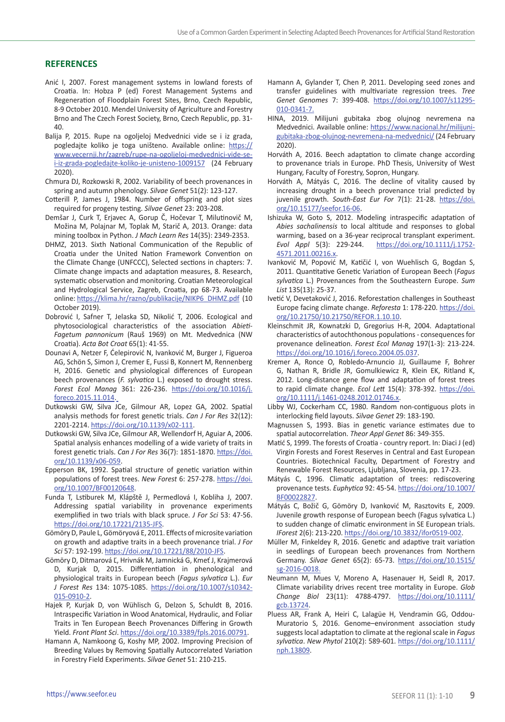# **REFERENCES**

- Anić I, 2007. Forest management systems in lowland forests of Croatia. In: Hobza P (ed) Forest Management Systems and Regeneration of Floodplain Forest Sites, Brno, Czech Republic, 8-9 October 2010. Mendel University of Agriculture and Forestry Brno and The Czech Forest Society, Brno, Czech Republic, pp. 31-  $40<sup>-1</sup>$
- Balija P, 2015. Rupe na ogoljeloj Medvednici vide se i iz grada, pogledajte koliko je toga uništeno. Available online: [https://](https://www.vecernji.hr/zagreb/rupe-na-ogoljeloj-medvednici-vide-se-i-iz-grada-pogledajte-koliko-je-unisteno-1009157) [www.vecernji.hr/zagreb/rupe-na-ogoljeloj-medvednici-vide-se](https://www.vecernji.hr/zagreb/rupe-na-ogoljeloj-medvednici-vide-se-i-iz-grada-pogledajte-koliko-je-unisteno-1009157)[i-iz-grada-pogledajte-koliko-je-unisteno-1009157](https://www.vecernji.hr/zagreb/rupe-na-ogoljeloj-medvednici-vide-se-i-iz-grada-pogledajte-koliko-je-unisteno-1009157) (24 February 2020).
- Chmura DJ, Rozkowski R, 2002. Variability of beech provenances in spring and autumn phenology. *Silvae Genet* 51(2): 123-127.
- Cotterill P, James J, 1984. Number of offspring and plot sizes required for progeny testing. *Silvae Genet* 23: 203-208.
- Demšar J, Curk T, Erjavec A, Gorup Č, Hočevar T, Milutinovič M, Možina M, Polajnar M, Toplak M, Starič A, 2013. Orange: data mining toolbox in Python. *J Mach Learn Res* 14(35): 2349-2353.
- DHMZ, 2013. Sixth National Communication of the Republic of Croatia under the United Nation Framework Convention on the Climate Change (UNFCCC), Selected sections in chapters: 7. Climate change impacts and adaptation measures, 8. Research, systematic observation and monitoring. Croatian Meteorological and Hydrological Service, Zagreb, Croatia, pp 68-73. Available online: [https://klima.hr/razno/publikacije/NIKP6\\_DHMZ.pdf](https://klima.hr/razno/publikacije/NIKP6_DHMZ.pdf) (10 October 2019).
- Dobrović I, Safner T, Jelaska SD, Nikolić T, 2006. Ecological and phytosociological characteristics of the association *Abieti-Fagetum pannonicum* (Rauš 1969) on Mt. Medvednica (NW Croatia). *Acta Bot Croat* 65(1): 41-55.
- Dounavi A, Netzer F, Ćelepirović N, Ivanković M, Burger J, Figueroa AG, Schön S, Simon J, Cremer E, Fussi B, Konnert M, Rennenberg H, 2016. Genetic and physiological differences of European beech provenances (*F. sylvatica* L.) exposed to drought stress. *Forest Ecol Manag* 361: 226-236. [https://doi.org/10.1016/j.](https://doi.org/10.1016/j.foreco.2015.11.014) [foreco.2015.11.014.](https://doi.org/10.1016/j.foreco.2015.11.014)
- Dutkowski GW, Silva JCe, Gilmour AR, Lopez GA, 2002. Spatial analysis methods for forest genetic trials. *Can J For Res* 32(12): 2201-2214. [https://doi.org/10.1139/x02-111.](https://doi.org/10.1139/x02-111)
- Dutkowski GW, Silva JCe, Gilmour AR, Wellendorf H, Aguiar A, 2006. Spatial analysis enhances modelling of a wide variety of traits in forest genetic trials. *Can J For Res* 36(7): 1851-1870. [https://doi.](https://doi.org/10.1139/x06-059) [org/10.1139/x06-059.](https://doi.org/10.1139/x06-059)
- Epperson BK, 1992. Spatial structure of genetic variation within populations of forest trees. *New Forest* 6: 257-278. [https://doi.](https://doi.org/10.1007/BF00120648) [org/10.1007/BF00120648.](https://doi.org/10.1007/BF00120648)
- Funda T, Lstiburek M, Klápště J, Permedlová I, Kobliha J, 2007. Addressing spatial variability in provenance experiments exemplified in two trials with black spruce. *J For Sci* 53: 47-56. [https://doi.org/10.17221/2135-JFS.](https://doi.org/10.17221/2135-JFS)
- Gömöry D, Paule L, Gömöryová E, 2011. Effects of microsite variation on growth and adaptive traits in a beech provenance trial. *J For Sci* 57: 192-199. [https://doi.org/10.17221/88/2010-JFS.](https://doi.org/10.17221/88/2010-JFS)
- Gömöry D, Ditmarová Ľ, Hrivnák M, Jamnická G, Kmeť J, Krajmerová D, Kurjak D, 2015. Differentiation in phenological and physiological traits in European beech (*Fagus sylvatica* L.). *Eur J Forest Res* 134: 1075-1085. [https://doi.org/10.1007/s10342-](https://doi.org/10.1007/s10342-015-0910-2) [015-0910-2.](https://doi.org/10.1007/s10342-015-0910-2)
- Hajek P, Kurjak D, von Wühlisch G, Delzon S, Schuldt B, 2016. Intraspecific Variation in Wood Anatomical, Hydraulic, and Foliar Traits in Ten European Beech Provenances Differing in Growth Yield. *Front Plant Sci*. <https://doi.org/10.3389/fpls.2016.00791>.
- Hamann A, Namkoong G, Koshy MP, 2002. Improving Precision of Breeding Values by Removing Spatially Autocorrelated Variation in Forestry Field Experiments. *Silvae Genet* 51: 210-215.
- Hamann A, Gylander T, Chen P, 2011. Developing seed zones and transfer guidelines with multivariate regression trees. *Tree Genet Genomes* 7: 399-408. [https://doi.org/10.1007/s11295-](https://doi.org/10.1007/s11295-010-0341-7) [010-0341-7](https://doi.org/10.1007/s11295-010-0341-7).
- HINA, 2019. Milijuni gubitaka zbog olujnog nevremena na Medvednici. Available online: [https://www.nacional.hr/milijuni](https://www.nacional.hr/milijuni-gubitaka-zbog-olujnog-nevremena-na-medvednici/)[gubitaka-zbog-olujnog-nevremena-na-medvednici/](https://www.nacional.hr/milijuni-gubitaka-zbog-olujnog-nevremena-na-medvednici/) (24 February 2020).
- Horváth A, 2016. Beech adaptation to climate change according to provenance trials in Europe. PhD Thesis, University of West Hungary, Faculty of Forestry, Sopron, Hungary.
- Horváth A, Mátyás C, 2016. The decline of vitality caused by increasing drought in a beech provenance trial predicted by juvenile growth. *South-East Eur For* 7(1): 21-28. [https://doi.](https://doi.org/10.15177/seefor.16-06) [org/10.15177/seefor.16-06.](https://doi.org/10.15177/seefor.16-06)
- Ishizuka W, Goto S, 2012. Modeling intraspecific adaptation of *Abies sachalinensis* to local altitude and responses to global warming, based on a 36-year reciprocal transplant experiment. *Evol Appl* 5(3): 229-244. [https://doi.org/10.1111/j.1752-](https://doi.org/10.1111/j.1752-4571.2011.00216.x) [4571.2011.00216.x.](https://doi.org/10.1111/j.1752-4571.2011.00216.x)
- Ivanković M, Popović M, Katičić I, von Wuehlisch G, Bogdan S, 2011. Quantitative Genetic Variation of European Beech (*Fagus sylvatica* L.) Provenances from the Southeastern Europe. *Sum List* 135(13): 25-37.
- Ivetić V, Devetaković J, 2016. Reforestation challenges in Southeast Europe facing climate change. *Reforesta* 1: 178-220. [https://doi.](https://doi.org/10.21750/10.21750/REFOR.1.10.10) [org/10.21750/10.21750/REFOR.1.10.10.](https://doi.org/10.21750/10.21750/REFOR.1.10.10)
- Kleinschmit JR, Kownatzki D, Gregorius H-R, 2004. Adaptational characteristics of autochthonous populations - consequences for provenance delineation. *Forest Ecol Manag* 197(1-3): 213-224. [https://doi.org/10.1016/j.foreco.2004.05.037.](https://doi.org/10.1016/j.foreco.2004.05.037)
- Kremer A, Ronce O, Robledo-Arnuncio JJ, Guillaume F, Bohrer G, Nathan R, Bridle JR, Gomulkiewicz R, Klein EK, Ritland K, 2012. Long-distance gene flow and adaptation of forest trees to rapid climate change. *Ecol Lett* 15(4): 378-392. [https://doi.](https://doi.org/10.1111/j.1461-0248.2012.01746.x) [org/10.1111/j.1461-0248.2012.01746.x](https://doi.org/10.1111/j.1461-0248.2012.01746.x).
- Libby WJ, Cockerham CC, 1980. Random non-contiguous plots in interlocking field layouts. *Silvae Genet* 29: 183-190.
- Magnussen S, 1993. Bias in genetic variance estimates due to spatial autocorrelation. *Theor Appl Genet* 86: 349-355.
- Matić S, 1999. The forests of Croatia country report. In: Diaci J (ed) Virgin Forests and Forest Reserves in Central and East European Countries. Biotechnical Faculty, Department of Forestry and Renewable Forest Resources, Ljubljana, Slovenia, pp. 17-23.
- Mátyás C, 1996. Climatic adaptation of trees: rediscovering provenance tests. *Euphytica* 92: 45-54. [https://doi.org/10.1007/](https://doi.org/10.1007/BF00022827) [BF00022827](https://doi.org/10.1007/BF00022827).
- Mátyás C, Božič G, Gömöry D, Ivanković M, Rasztovits E, 2009. Juvenile growth response of European beech (Fagus sylvatica L.) to sudden change of climatic environment in SE European trials. *IForest* 2(6): 213-220. <https://doi.org/10.3832/ifor0519-002>.
- Müller M, Finkeldey R, 2016. Genetic and adaptive trait variation in seedlings of European beech provenances from Northern Germany. *Silvae Genet* 65(2): 65-73. [https://doi.org/10.1515/](https://doi.org/10.1515/sg-2016-0018) [sg-2016-0018.](https://doi.org/10.1515/sg-2016-0018)
- Neumann M, Mues V, Moreno A, Hasenauer H, Seidl R, 2017. Climate variability drives recent tree mortality in Europe. *Glob Change Biol* 23(11): 4788-4797. [https://doi.org/10.1111/](https://doi.org/10.1111/gcb.13724) [gcb.13724](https://doi.org/10.1111/gcb.13724).
- Pluess AR, Frank A, Heiri C, Lalagüe H, Vendramin GG, Oddou‐ Muratorio S, 2016. Genome–environment association study suggests local adaptation to climate at the regional scale in *Fagus sylvatica*. *New Phytol* 210(2): 589-601. [https://doi.org/10.1111/](https://doi.org/10.1111/nph.13809) [nph.13809](https://doi.org/10.1111/nph.13809).